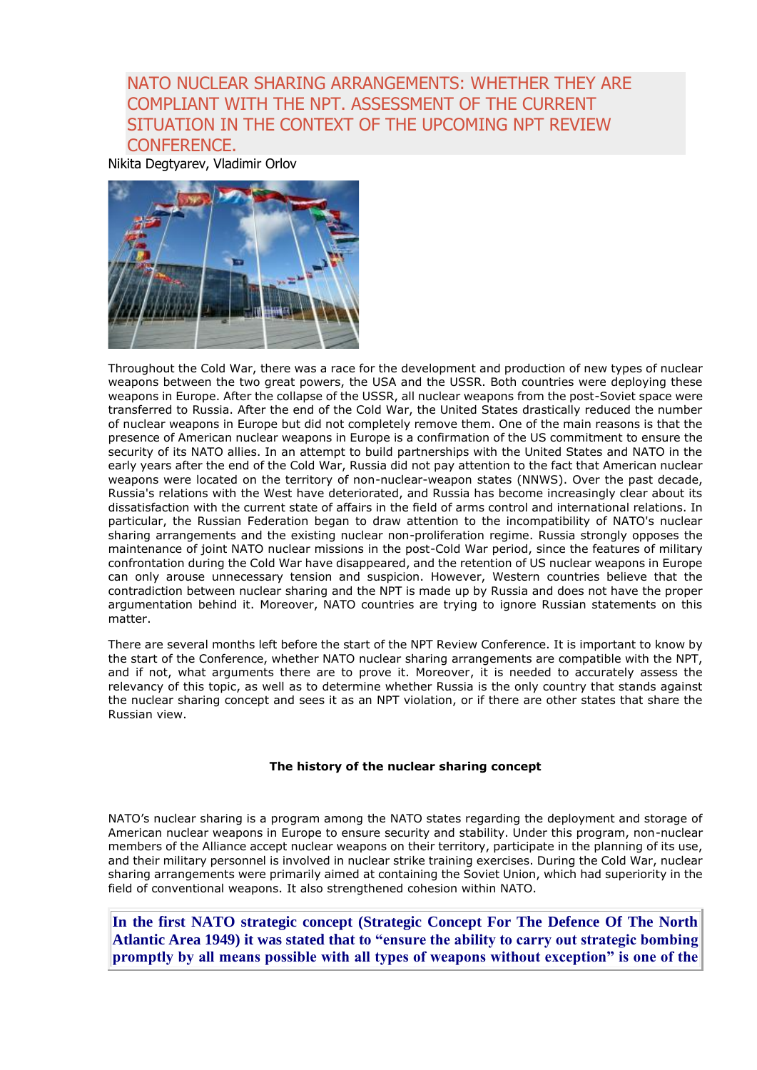# NATO NUCLEAR SHARING ARRANGEMENTS: WHETHER THEY ARE COMPLIANT WITH THE NPT. ASSESSMENT OF THE CURRENT SITUATION IN THE CONTEXT OF THE UPCOMING NPT REVIEW CONFERENCE.

Nikita Degtyarev, Vladimir Orlov



Throughout the Cold War, there was a race for the development and production of new types of nuclear weapons between the two great powers, the USA and the USSR. Both countries were deploying these weapons in Europe. After the collapse of the USSR, all nuclear weapons from the post-Soviet space were transferred to Russia. After the end of the Cold War, the United States drastically reduced the number of nuclear weapons in Europe but did not completely remove them. One of the main reasons is that the presence of American nuclear weapons in Europe is a confirmation of the US commitment to ensure the security of its NATO allies. In an attempt to build partnerships with the United States and NATO in the early years after the end of the Cold War, Russia did not pay attention to the fact that American nuclear weapons were located on the territory of non-nuclear-weapon states (NNWS). Over the past decade, Russia's relations with the West have deteriorated, and Russia has become increasingly clear about its dissatisfaction with the current state of affairs in the field of arms control and international relations. In particular, the Russian Federation began to draw attention to the incompatibility of NATO's nuclear sharing arrangements and the existing nuclear non-proliferation regime. Russia strongly opposes the maintenance of joint NATO nuclear missions in the post-Cold War period, since the features of military confrontation during the Cold War have disappeared, and the retention of US nuclear weapons in Europe can only arouse unnecessary tension and suspicion. However, Western countries believe that the contradiction between nuclear sharing and the NPT is made up by Russia and does not have the proper argumentation behind it. Moreover, NATO countries are trying to ignore Russian statements on this matter.

There are several months left before the start of the NPT Review Conference. It is important to know by the start of the Conference, whether NATO nuclear sharing arrangements are compatible with the NPT, and if not, what arguments there are to prove it. Moreover, it is needed to accurately assess the relevancy of this topic, as well as to determine whether Russia is the only country that stands against the nuclear sharing concept and sees it as an NPT violation, or if there are other states that share the Russian view.

## **The history of the nuclear sharing concept**

NATO's nuclear sharing is a program among the NATO states regarding the deployment and storage of American nuclear weapons in Europe to ensure security and stability. Under this program, non-nuclear members of the Alliance accept nuclear weapons on their territory, participate in the planning of its use, and their military personnel is involved in nuclear strike training exercises. During the Cold War, nuclear sharing arrangements were primarily aimed at containing the Soviet Union, which had superiority in the field of conventional weapons. It also strengthened cohesion within NATO.

**In the first NATO strategic concept (Strategic Concept For The Defence Of The North Atlantic Area 1949) it was stated that to "ensure the ability to carry out strategic bombing promptly by all means possible with all types of weapons without exception" is one of the**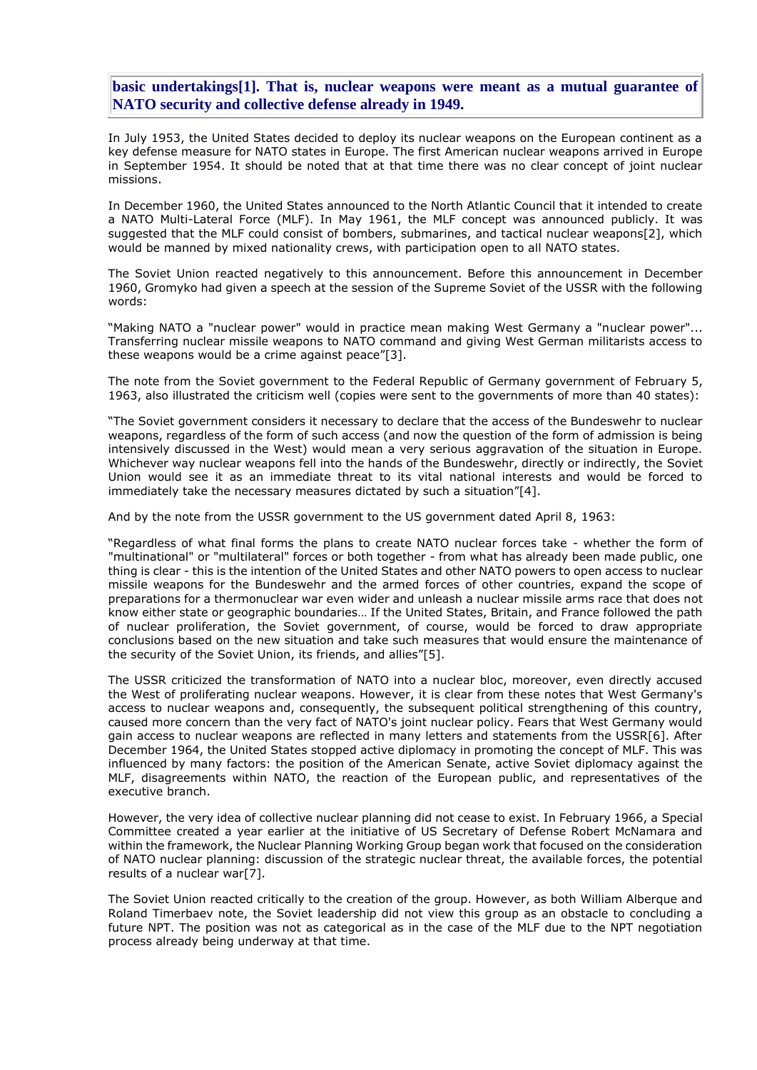**basic undertakings[1]. That is, nuclear weapons were meant as a mutual guarantee of NATO security and collective defense already in 1949.**

In July 1953, the United States decided to deploy its nuclear weapons on the European continent as a key defense measure for NATO states in Europe. The first American nuclear weapons arrived in Europe in September 1954. It should be noted that at that time there was no clear concept of joint nuclear missions.

In December 1960, the United States announced to the North Atlantic Council that it intended to create a NATO Multi-Lateral Force (MLF). In May 1961, the MLF concept was announced publicly. It was suggested that the MLF could consist of bombers, submarines, and tactical nuclear weapons[2], which would be manned by mixed nationality crews, with participation open to all NATO states.

The Soviet Union reacted negatively to this announcement. Before this announcement in December 1960, Gromyko had given a speech at the session of the Supreme Soviet of the USSR with the following words:

"Making NATO a "nuclear power" would in practice mean making West Germany a "nuclear power"... Transferring nuclear missile weapons to NATO command and giving West German militarists access to these weapons would be a crime against peace"[3].

The note from the Soviet government to the Federal Republic of Germany government of February 5, 1963, also illustrated the criticism well (copies were sent to the governments of more than 40 states):

"The Soviet government considers it necessary to declare that the access of the Bundeswehr to nuclear weapons, regardless of the form of such access (and now the question of the form of admission is being intensively discussed in the West) would mean a very serious aggravation of the situation in Europe. Whichever way nuclear weapons fell into the hands of the Bundeswehr, directly or indirectly, the Soviet Union would see it as an immediate threat to its vital national interests and would be forced to immediately take the necessary measures dictated by such a situation"[4].

And by the note from the USSR government to the US government dated April 8, 1963:

"Regardless of what final forms the plans to create NATO nuclear forces take - whether the form of "multinational" or "multilateral" forces or both together - from what has already been made public, one thing is clear - this is the intention of the United States and other NATO powers to open access to nuclear missile weapons for the Bundeswehr and the armed forces of other countries, expand the scope of preparations for a thermonuclear war even wider and unleash a nuclear missile arms race that does not know either state or geographic boundaries… If the United States, Britain, and France followed the path of nuclear proliferation, the Soviet government, of course, would be forced to draw appropriate conclusions based on the new situation and take such measures that would ensure the maintenance of the security of the Soviet Union, its friends, and allies"[5].

The USSR criticized the transformation of NATO into a nuclear bloc, moreover, even directly accused the West of proliferating nuclear weapons. However, it is clear from these notes that West Germany's access to nuclear weapons and, consequently, the subsequent political strengthening of this country, caused more concern than the very fact of NATO's joint nuclear policy. Fears that West Germany would gain access to nuclear weapons are reflected in many letters and statements from the USSR[6]. After December 1964, the United States stopped active diplomacy in promoting the concept of MLF. This was influenced by many factors: the position of the American Senate, active Soviet diplomacy against the MLF, disagreements within NATO, the reaction of the European public, and representatives of the executive branch.

However, the very idea of collective nuclear planning did not cease to exist. In February 1966, a Special Committee created a year earlier at the initiative of US Secretary of Defense Robert McNamara and within the framework, the Nuclear Planning Working Group began work that focused on the consideration of NATO nuclear planning: discussion of the strategic nuclear threat, the available forces, the potential results of a nuclear war[7].

The Soviet Union reacted critically to the creation of the group. However, as both William Alberque and Roland Timerbaev note, the Soviet leadership did not view this group as an obstacle to concluding a future NPT. The position was not as categorical as in the case of the MLF due to the NPT negotiation process already being underway at that time.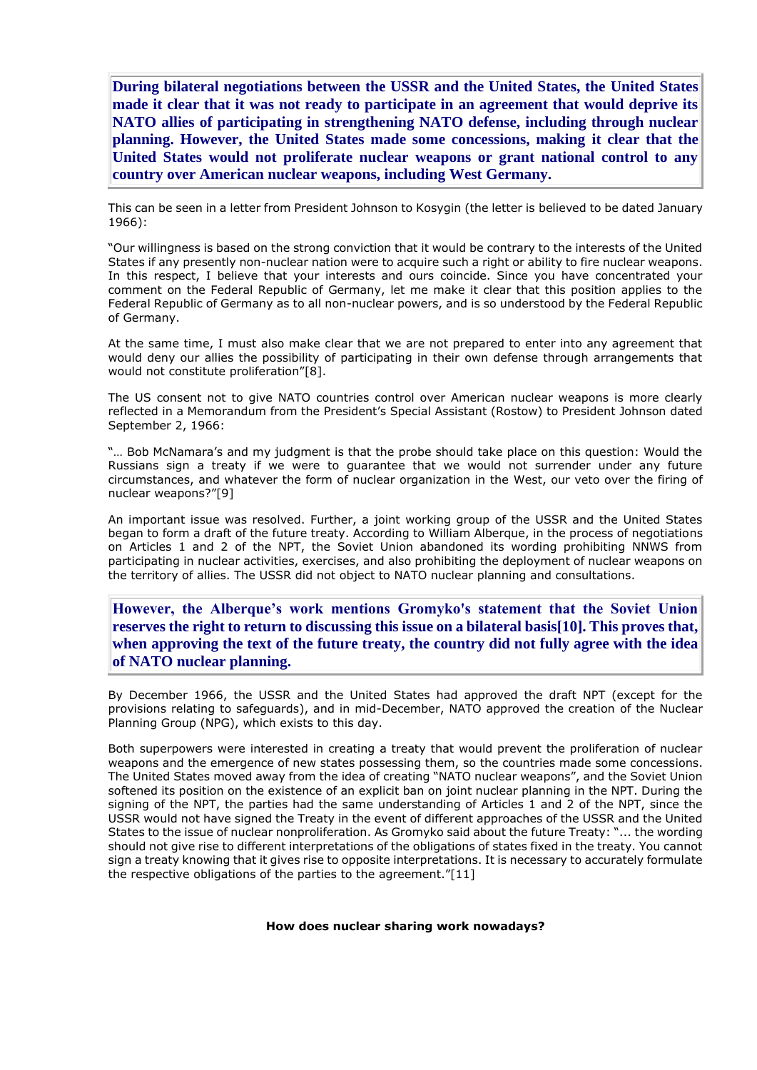**During bilateral negotiations between the USSR and the United States, the United States made it clear that it was not ready to participate in an agreement that would deprive its NATO allies of participating in strengthening NATO defense, including through nuclear planning. However, the United States made some concessions, making it clear that the United States would not proliferate nuclear weapons or grant national control to any country over American nuclear weapons, including West Germany.**

This can be seen in a letter from President Johnson to Kosygin (the letter is believed to be dated January 1966):

"Our willingness is based on the strong conviction that it would be contrary to the interests of the United States if any presently non-nuclear nation were to acquire such a right or ability to fire nuclear weapons. In this respect, I believe that your interests and ours coincide. Since you have concentrated your comment on the Federal Republic of Germany, let me make it clear that this position applies to the Federal Republic of Germany as to all non-nuclear powers, and is so understood by the Federal Republic of Germany.

At the same time, I must also make clear that we are not prepared to enter into any agreement that would deny our allies the possibility of participating in their own defense through arrangements that would not constitute proliferation"[8].

The US consent not to give NATO countries control over American nuclear weapons is more clearly reflected in a Memorandum from the President's Special Assistant (Rostow) to President Johnson dated September 2, 1966:

"… Bob McNamara's and my judgment is that the probe should take place on this question: Would the Russians sign a treaty if we were to guarantee that we would not surrender under any future circumstances, and whatever the form of nuclear organization in the West, our veto over the firing of nuclear weapons?"[9]

An important issue was resolved. Further, a joint working group of the USSR and the United States began to form a draft of the future treaty. According to William Alberque, in the process of negotiations on Articles 1 and 2 of the NPT, the Soviet Union abandoned its wording prohibiting NNWS from participating in nuclear activities, exercises, and also prohibiting the deployment of nuclear weapons on the territory of allies. The USSR did not object to NATO nuclear planning and consultations.

**However, the Alberque's work mentions Gromyko's statement that the Soviet Union reserves the right to return to discussing this issue on a bilateral basis[10]. This proves that, when approving the text of the future treaty, the country did not fully agree with the idea of NATO nuclear planning.**

By December 1966, the USSR and the United States had approved the draft NPT (except for the provisions relating to safeguards), and in mid-December, NATO approved the creation of the Nuclear Planning Group (NPG), which exists to this day.

Both superpowers were interested in creating a treaty that would prevent the proliferation of nuclear weapons and the emergence of new states possessing them, so the countries made some concessions. The United States moved away from the idea of creating "NATO nuclear weapons", and the Soviet Union softened its position on the existence of an explicit ban on joint nuclear planning in the NPT. During the signing of the NPT, the parties had the same understanding of Articles 1 and 2 of the NPT, since the USSR would not have signed the Treaty in the event of different approaches of the USSR and the United States to the issue of nuclear nonproliferation. As Gromyko said about the future Treaty: "... the wording should not give rise to different interpretations of the obligations of states fixed in the treaty. You cannot sign a treaty knowing that it gives rise to opposite interpretations. It is necessary to accurately formulate the respective obligations of the parties to the agreement."[11]

#### **How does nuclear sharing work nowadays?**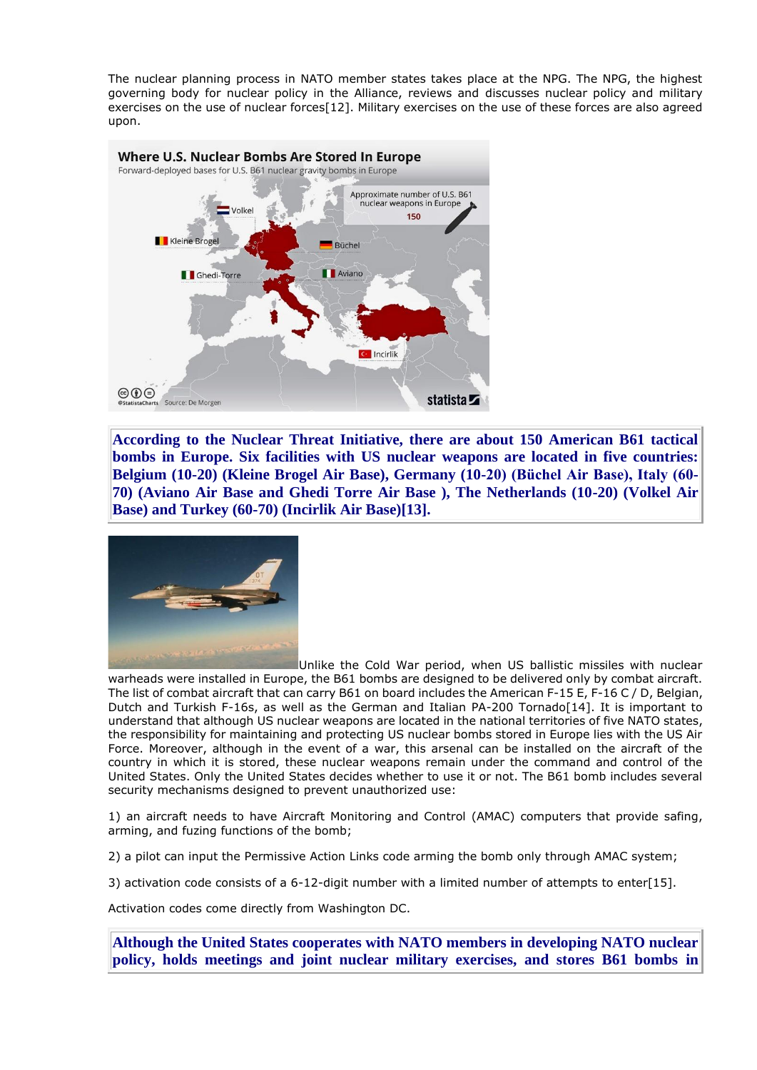The nuclear planning process in NATO member states takes place at the NPG. The NPG, the highest governing body for nuclear policy in the Alliance, reviews and discusses nuclear policy and military exercises on the use of nuclear forces[12]. Military exercises on the use of these forces are also agreed upon.



**According to the Nuclear Threat Initiative, there are about 150 American B61 tactical bombs in Europe. Six facilities with US nuclear weapons are located in five countries: Belgium (10-20) (Kleine Brogel Air Base), Germany (10-20) (Büchel Air Base), Italy (60- 70) (Aviano Air Base and Ghedi Torre Air Base ), The Netherlands (10-20) (Volkel Air Base) and Turkey (60-70) (Incirlik Air Base)[13].**



Unlike the Cold War period, when US ballistic missiles with nuclear warheads were installed in Europe, the B61 bombs are designed to be delivered only by combat aircraft. The list of combat aircraft that can carry B61 on board includes the American F-15 E, F-16 C / D, Belgian, Dutch and Turkish F-16s, as well as the German and Italian PA-200 Tornado[14]. It is important to understand that although US nuclear weapons are located in the national territories of five NATO states, the responsibility for maintaining and protecting US nuclear bombs stored in Europe lies with the US Air Force. Moreover, although in the event of a war, this arsenal can be installed on the aircraft of the country in which it is stored, these nuclear weapons remain under the command and control of the United States. Only the United States decides whether to use it or not. The B61 bomb includes several security mechanisms designed to prevent unauthorized use:

1) an aircraft needs to have Aircraft Monitoring and Control (AMAC) computers that provide safing, arming, and fuzing functions of the bomb;

2) a pilot can input the Permissive Action Links code arming the bomb only through AMAC system;

3) activation code consists of a 6-12-digit number with a limited number of attempts to enter[15].

Activation codes come directly from Washington DC.

**Although the United States cooperates with NATO members in developing NATO nuclear policy, holds meetings and joint nuclear military exercises, and stores B61 bombs in**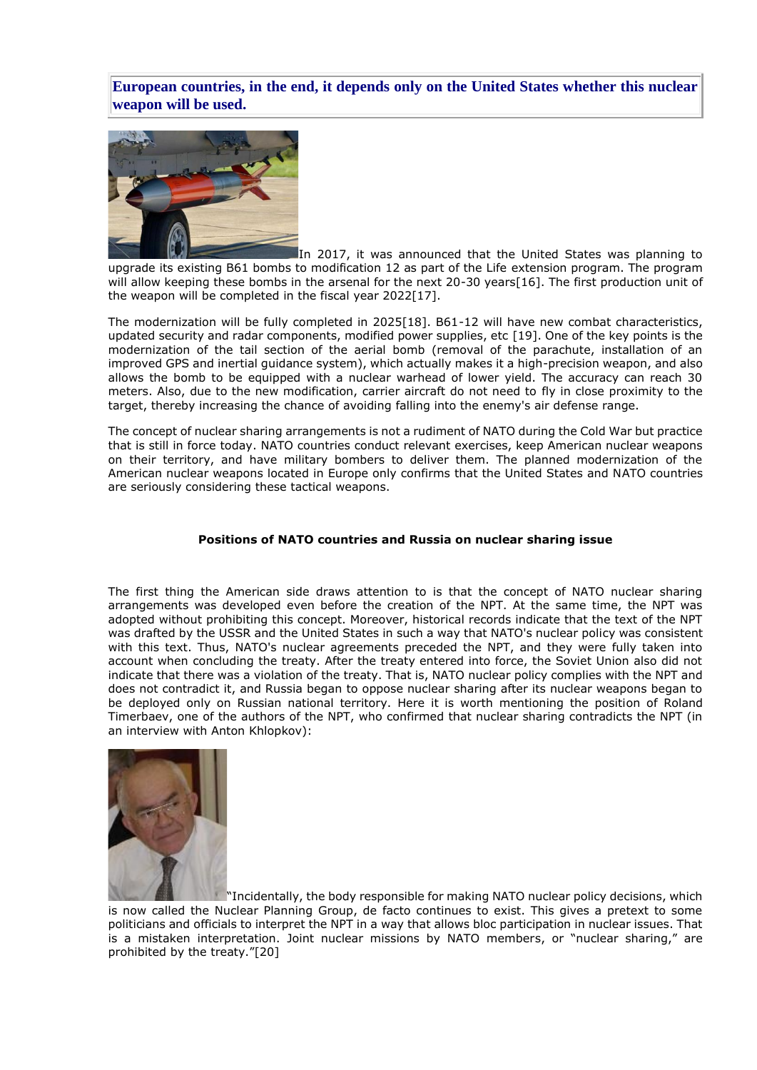**European countries, in the end, it depends only on the United States whether this nuclear weapon will be used.**



In 2017, it was announced that the United States was planning to upgrade its existing B61 bombs to modification 12 as part of the Life extension program. The program will allow keeping these bombs in the arsenal for the next 20-30 years[16]. The first production unit of the weapon will be completed in the fiscal year 2022[17].

The modernization will be fully completed in 2025[18]. B61-12 will have new combat characteristics, updated security and radar components, modified power supplies, etc [19]. One of the key points is the modernization of the tail section of the aerial bomb (removal of the parachute, installation of an improved GPS and inertial guidance system), which actually makes it a high-precision weapon, and also allows the bomb to be equipped with a nuclear warhead of lower yield. The accuracy can reach 30 meters. Also, due to the new modification, carrier aircraft do not need to fly in close proximity to the target, thereby increasing the chance of avoiding falling into the enemy's air defense range.

The concept of nuclear sharing arrangements is not a rudiment of NATO during the Cold War but practice that is still in force today. NATO countries conduct relevant exercises, keep American nuclear weapons on their territory, and have military bombers to deliver them. The planned modernization of the American nuclear weapons located in Europe only confirms that the United States and NATO countries are seriously considering these tactical weapons.

## **Positions of NATO countries and Russia on nuclear sharing issue**

The first thing the American side draws attention to is that the concept of NATO nuclear sharing arrangements was developed even before the creation of the NPT. At the same time, the NPT was adopted without prohibiting this concept. Moreover, historical records indicate that the text of the NPT was drafted by the USSR and the United States in such a way that NATO's nuclear policy was consistent with this text. Thus, NATO's nuclear agreements preceded the NPT, and they were fully taken into account when concluding the treaty. After the treaty entered into force, the Soviet Union also did not indicate that there was a violation of the treaty. That is, NATO nuclear policy complies with the NPT and does not contradict it, and Russia began to oppose nuclear sharing after its nuclear weapons began to be deployed only on Russian national territory. Here it is worth mentioning the position of Roland Timerbaev, one of the authors of the NPT, who confirmed that nuclear sharing contradicts the NPT (in an interview with Anton Khlopkov):



"Incidentally, the body responsible for making NATO nuclear policy decisions, which is now called the Nuclear Planning Group, de facto continues to exist. This gives a pretext to some politicians and officials to interpret the NPT in a way that allows bloc participation in nuclear issues. That is a mistaken interpretation. Joint nuclear missions by NATO members, or "nuclear sharing," are prohibited by the treaty."[20]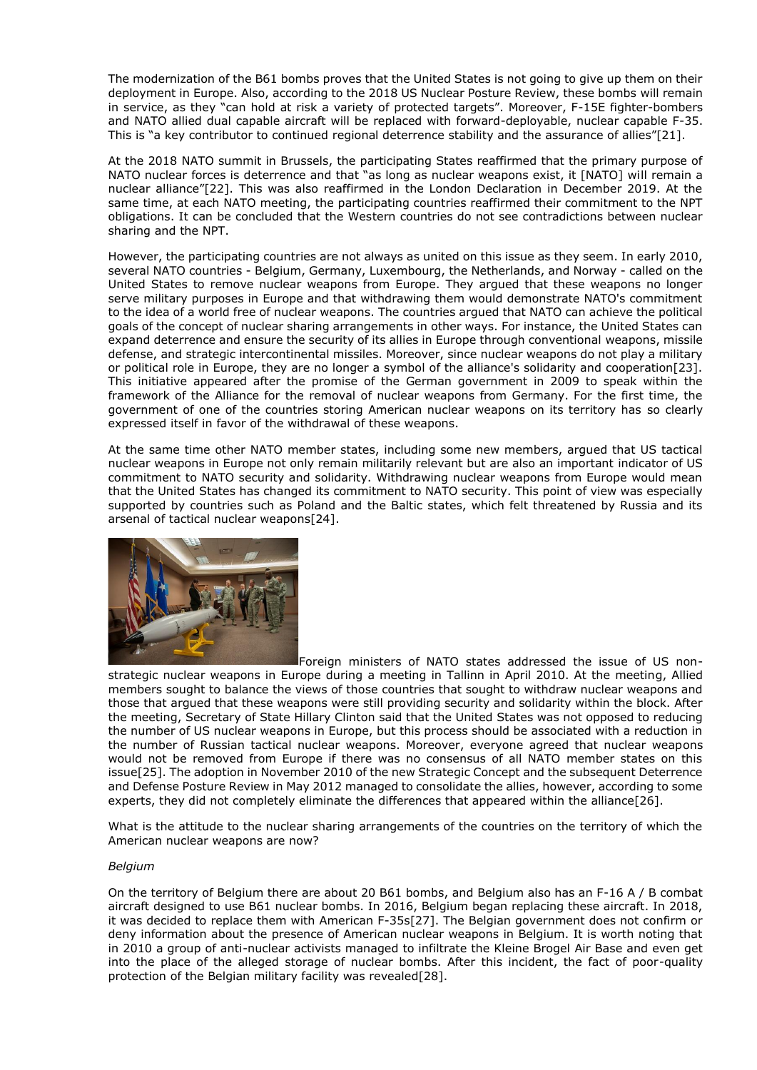The modernization of the B61 bombs proves that the United States is not going to give up them on their deployment in Europe. Also, according to the 2018 US Nuclear Posture Review, these bombs will remain in service, as they "can hold at risk a variety of protected targets". Moreover, F-15E fighter-bombers and NATO allied dual capable aircraft will be replaced with forward-deployable, nuclear capable F-35. This is "a key contributor to continued regional deterrence stability and the assurance of allies"[21].

At the 2018 NATO summit in Brussels, the participating States reaffirmed that the primary purpose of NATO nuclear forces is deterrence and that "as long as nuclear weapons exist, it [NATO] will remain a nuclear alliance"[22]. This was also reaffirmed in the London Declaration in December 2019. At the same time, at each NATO meeting, the participating countries reaffirmed their commitment to the NPT obligations. It can be concluded that the Western countries do not see contradictions between nuclear sharing and the NPT.

However, the participating countries are not always as united on this issue as they seem. In early 2010, several NATO countries - Belgium, Germany, Luxembourg, the Netherlands, and Norway - called on the United States to remove nuclear weapons from Europe. They argued that these weapons no longer serve military purposes in Europe and that withdrawing them would demonstrate NATO's commitment to the idea of a world free of nuclear weapons. The countries argued that NATO can achieve the political goals of the concept of nuclear sharing arrangements in other ways. For instance, the United States can expand deterrence and ensure the security of its allies in Europe through conventional weapons, missile defense, and strategic intercontinental missiles. Moreover, since nuclear weapons do not play a military or political role in Europe, they are no longer a symbol of the alliance's solidarity and cooperation[23]. This initiative appeared after the promise of the German government in 2009 to speak within the framework of the Alliance for the removal of nuclear weapons from Germany. For the first time, the government of one of the countries storing American nuclear weapons on its territory has so clearly expressed itself in favor of the withdrawal of these weapons.

At the same time other NATO member states, including some new members, argued that US tactical nuclear weapons in Europe not only remain militarily relevant but are also an important indicator of US commitment to NATO security and solidarity. Withdrawing nuclear weapons from Europe would mean that the United States has changed its commitment to NATO security. This point of view was especially supported by countries such as Poland and the Baltic states, which felt threatened by Russia and its arsenal of tactical nuclear weapons[24].



Foreign ministers of NATO states addressed the issue of US nonstrategic nuclear weapons in Europe during a meeting in Tallinn in April 2010. At the meeting, Allied members sought to balance the views of those countries that sought to withdraw nuclear weapons and those that argued that these weapons were still providing security and solidarity within the block. After the meeting, Secretary of State Hillary Clinton said that the United States was not opposed to reducing the number of US nuclear weapons in Europe, but this process should be associated with a reduction in the number of Russian tactical nuclear weapons. Moreover, everyone agreed that nuclear weapons would not be removed from Europe if there was no consensus of all NATO member states on this issue[25]. The adoption in November 2010 of the new Strategic Concept and the subsequent Deterrence and Defense Posture Review in May 2012 managed to consolidate the allies, however, according to some experts, they did not completely eliminate the differences that appeared within the alliance[26].

What is the attitude to the nuclear sharing arrangements of the countries on the territory of which the American nuclear weapons are now?

## *Belgium*

On the territory of Belgium there are about 20 B61 bombs, and Belgium also has an F-16 A / B combat aircraft designed to use B61 nuclear bombs. In 2016, Belgium began replacing these aircraft. In 2018, it was decided to replace them with American F-35s[27]. The Belgian government does not confirm or deny information about the presence of American nuclear weapons in Belgium. It is worth noting that in 2010 a group of anti-nuclear activists managed to infiltrate the Kleine Brogel Air Base and even get into the place of the alleged storage of nuclear bombs. After this incident, the fact of poor-quality protection of the Belgian military facility was revealed[28].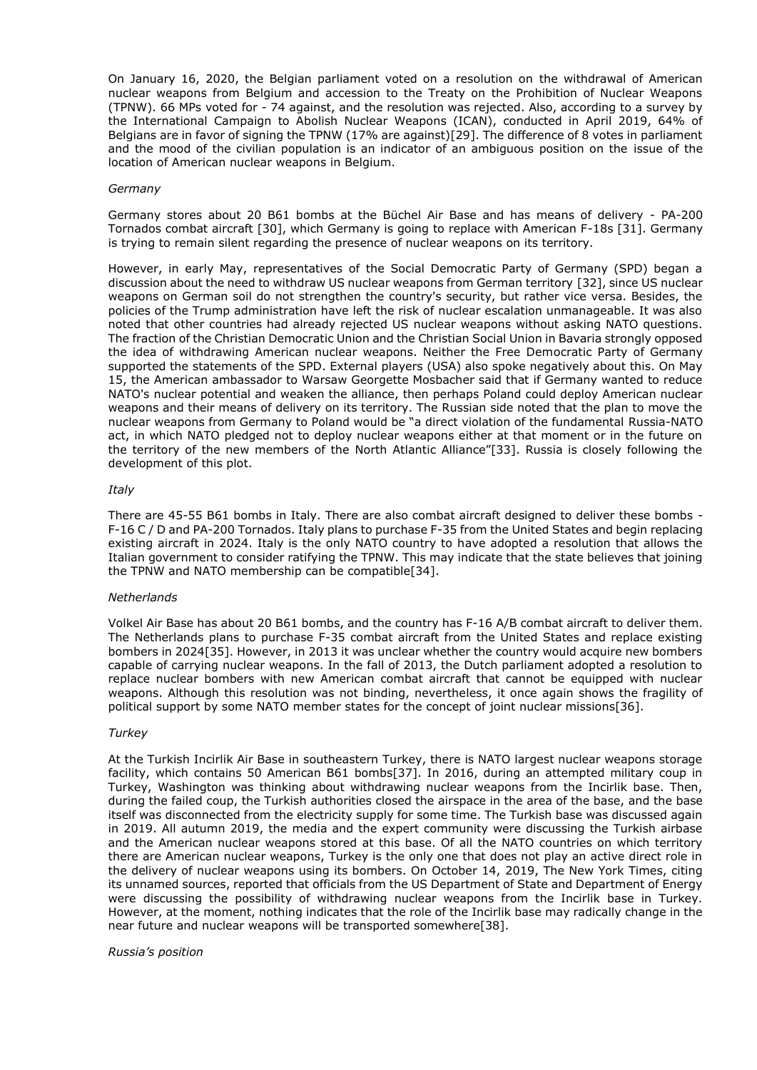On January 16, 2020, the Belgian parliament voted on a resolution on the withdrawal of American nuclear weapons from Belgium and accession to the Treaty on the Prohibition of Nuclear Weapons (TPNW). 66 MPs voted for - 74 against, and the resolution was rejected. Also, according to a survey by the International Campaign to Abolish Nuclear Weapons (ICAN), conducted in April 2019, 64% of Belgians are in favor of signing the TPNW (17% are against)[29]. The difference of 8 votes in parliament and the mood of the civilian population is an indicator of an ambiguous position on the issue of the location of American nuclear weapons in Belgium.

#### *Germany*

Germany stores about 20 B61 bombs at the Büchel Air Base and has means of delivery - PA-200 Tornados combat aircraft [30], which Germany is going to replace with American F-18s [31]. Germany is trying to remain silent regarding the presence of nuclear weapons on its territory.

However, in early May, representatives of the Social Democratic Party of Germany (SPD) began a discussion about the need to withdraw US nuclear weapons from German territory [32], since US nuclear weapons on German soil do not strengthen the country's security, but rather vice versa. Besides, the policies of the Trump administration have left the risk of nuclear escalation unmanageable. It was also noted that other countries had already rejected US nuclear weapons without asking NATO questions. The fraction of the Christian Democratic Union and the Christian Social Union in Bavaria strongly opposed the idea of withdrawing American nuclear weapons. Neither the Free Democratic Party of Germany supported the statements of the SPD. External players (USA) also spoke negatively about this. On May 15, the American ambassador to Warsaw Georgette Mosbacher said that if Germany wanted to reduce NATO's nuclear potential and weaken the alliance, then perhaps Poland could deploy American nuclear weapons and their means of delivery on its territory. The Russian side noted that the plan to move the nuclear weapons from Germany to Poland would be "a direct violation of the fundamental Russia-NATO act, in which NATO pledged not to deploy nuclear weapons either at that moment or in the future on the territory of the new members of the North Atlantic Alliance"[33]. Russia is closely following the development of this plot.

## *Italy*

There are 45-55 B61 bombs in Italy. There are also combat aircraft designed to deliver these bombs - F-16 C / D and PA-200 Tornados. Italy plans to purchase F-35 from the United States and begin replacing existing aircraft in 2024. Italy is the only NATO country to have adopted a resolution that allows the Italian government to consider ratifying the TPNW. This may indicate that the state believes that joining the TPNW and NATO membership can be compatible[34].

#### *Netherlands*

Volkel Air Base has about 20 B61 bombs, and the country has F-16 A/B combat aircraft to deliver them. The Netherlands plans to purchase F-35 combat aircraft from the United States and replace existing bombers in 2024[35]. However, in 2013 it was unclear whether the country would acquire new bombers capable of carrying nuclear weapons. In the fall of 2013, the Dutch parliament adopted a resolution to replace nuclear bombers with new American combat aircraft that cannot be equipped with nuclear weapons. Although this resolution was not binding, nevertheless, it once again shows the fragility of political support by some NATO member states for the concept of joint nuclear missions[36].

## *Turkey*

At the Turkish Incirlik Air Base in southeastern Turkey, there is NATO largest nuclear weapons storage facility, which contains 50 American B61 bombs[37]. In 2016, during an attempted military coup in Turkey, Washington was thinking about withdrawing nuclear weapons from the Incirlik base. Then, during the failed coup, the Turkish authorities closed the airspace in the area of the base, and the base itself was disconnected from the electricity supply for some time. The Turkish base was discussed again in 2019. All autumn 2019, the media and the expert community were discussing the Turkish airbase and the American nuclear weapons stored at this base. Of all the NATO countries on which territory there are American nuclear weapons, Turkey is the only one that does not play an active direct role in the delivery of nuclear weapons using its bombers. On October 14, 2019, The New York Times, citing its unnamed sources, reported that officials from the US Department of State and Department of Energy were discussing the possibility of withdrawing nuclear weapons from the Incirlik base in Turkey. However, at the moment, nothing indicates that the role of the Incirlik base may radically change in the near future and nuclear weapons will be transported somewhere[38].

#### *Russia's position*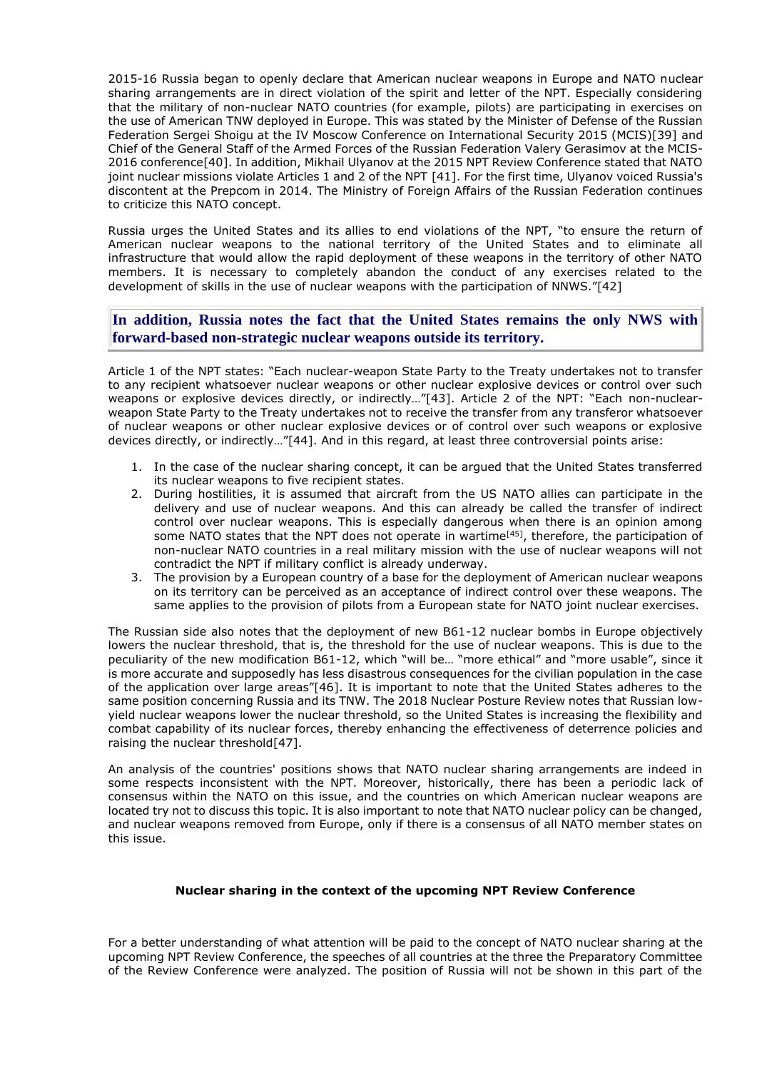2015-16 Russia began to openly declare that American nuclear weapons in Europe and NATO nuclear sharing arrangements are in direct violation of the spirit and letter of the NPT. Especially considering that the military of non-nuclear NATO countries (for example, pilots) are participating in exercises on the use of American TNW deployed in Europe. This was stated by the Minister of Defense of the Russian Federation Sergei Shoigu at the IV Moscow Conference on International Security 2015 (MCIS)[39] and Chief of the General Staff of the Armed Forces of the Russian Federation Valery Gerasimov at the MCIS-2016 conference[40]. In addition, Mikhail Ulyanov at the 2015 NPT Review Conference stated that NATO joint nuclear missions violate Articles 1 and 2 of the NPT [41]. For the first time, Ulyanov voiced Russia's discontent at the Prepcom in 2014. The Ministry of Foreign Affairs of the Russian Federation continues to criticize this NATO concept.

Russia urges the United States and its allies to end violations of the NPT, "to ensure the return of American nuclear weapons to the national territory of the United States and to eliminate all infrastructure that would allow the rapid deployment of these weapons in the territory of other NATO members. It is necessary to completely abandon the conduct of any exercises related to the development of skills in the use of nuclear weapons with the participation of NNWS."[42]

**In addition, Russia notes the fact that the United States remains the only NWS with forward-based non-strategic nuclear weapons outside its territory.**

Article 1 of the NPT states: "Each nuclear-weapon State Party to the Treaty undertakes not to transfer to any recipient whatsoever nuclear weapons or other nuclear explosive devices or control over such weapons or explosive devices directly, or indirectly…"[43]. Article 2 of the NPT: "Each non-nuclearweapon State Party to the Treaty undertakes not to receive the transfer from any transferor whatsoever of nuclear weapons or other nuclear explosive devices or of control over such weapons or explosive devices directly, or indirectly…"[44]. And in this regard, at least three controversial points arise:

- 1. In the case of the nuclear sharing concept, it can be argued that the United States transferred its nuclear weapons to five recipient states.
- 2. During hostilities, it is assumed that aircraft from the US NATO allies can participate in the delivery and use of nuclear weapons. And this can already be called the transfer of indirect control over nuclear weapons. This is especially dangerous when there is an opinion among some NATO states that the NPT does not operate in wartime<sup>[45]</sup>, therefore, the participation of non-nuclear NATO countries in a real military mission with the use of nuclear weapons will not contradict the NPT if military conflict is already underway.
- 3. The provision by a European country of a base for the deployment of American nuclear weapons on its territory can be perceived as an acceptance of indirect control over these weapons. The same applies to the provision of pilots from a European state for NATO joint nuclear exercises.

The Russian side also notes that the deployment of new B61-12 nuclear bombs in Europe objectively lowers the nuclear threshold, that is, the threshold for the use of nuclear weapons. This is due to the peculiarity of the new modification B61-12, which "will be… "more ethical" and "more usable", since it is more accurate and supposedly has less disastrous consequences for the civilian population in the case of the application over large areas"[46]. It is important to note that the United States adheres to the same position concerning Russia and its TNW. The 2018 Nuclear Posture Review notes that Russian lowyield nuclear weapons lower the nuclear threshold, so the United States is increasing the flexibility and combat capability of its nuclear forces, thereby enhancing the effectiveness of deterrence policies and raising the nuclear threshold[47].

An analysis of the countries' positions shows that NATO nuclear sharing arrangements are indeed in some respects inconsistent with the NPT. Moreover, historically, there has been a periodic lack of consensus within the NATO on this issue, and the countries on which American nuclear weapons are located try not to discuss this topic. It is also important to note that NATO nuclear policy can be changed, and nuclear weapons removed from Europe, only if there is a consensus of all NATO member states on this issue.

## **Nuclear sharing in the context of the upcoming NPT Review Conference**

For a better understanding of what attention will be paid to the concept of NATO nuclear sharing at the upcoming NPT Review Conference, the speeches of all countries at the three the Preparatory Committee of the Review Conference were analyzed. The position of Russia will not be shown in this part of the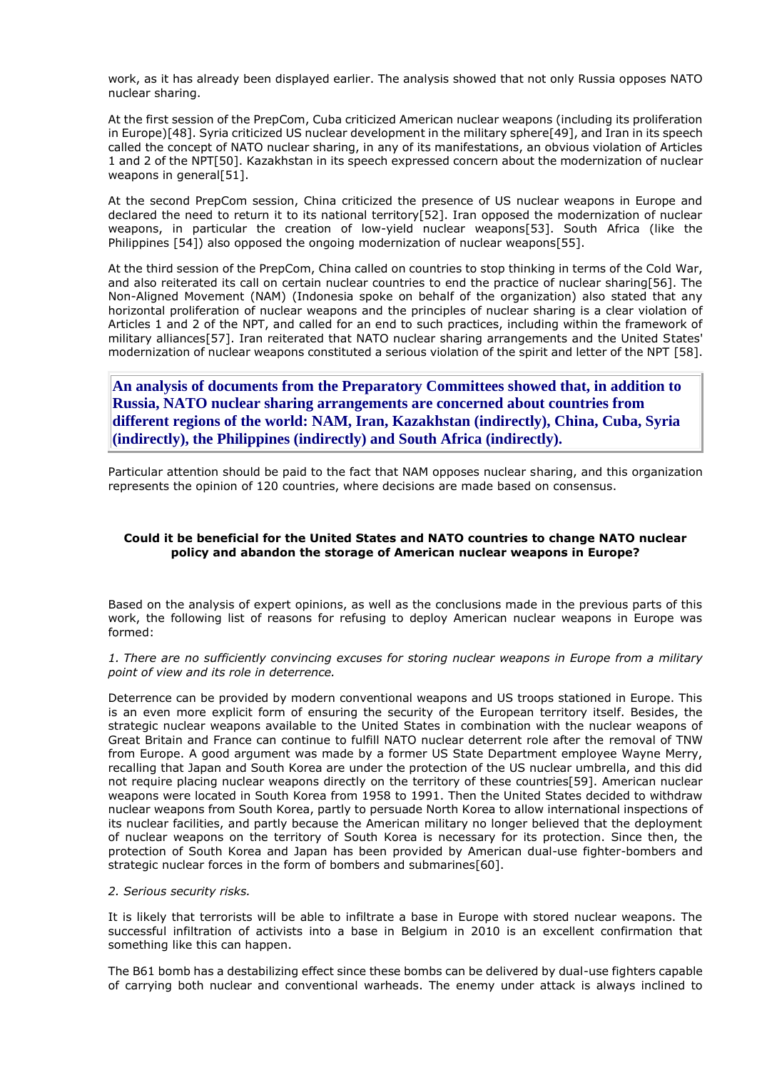work, as it has already been displayed earlier. The analysis showed that not only Russia opposes NATO nuclear sharing.

At the first session of the PrepCom, Cuba criticized American nuclear weapons (including its proliferation in Europe)[48]. Syria criticized US nuclear development in the military sphere[49], and Iran in its speech called the concept of NATO nuclear sharing, in any of its manifestations, an obvious violation of Articles 1 and 2 of the NPT[50]. Kazakhstan in its speech expressed concern about the modernization of nuclear weapons in general[51].

At the second PrepCom session, China criticized the presence of US nuclear weapons in Europe and declared the need to return it to its national territory[52]. Iran opposed the modernization of nuclear weapons, in particular the creation of low-yield nuclear weapons[53]. South Africa (like the Philippines [54]) also opposed the ongoing modernization of nuclear weapons[55].

At the third session of the PrepCom, China called on countries to stop thinking in terms of the Cold War, and also reiterated its call on certain nuclear countries to end the practice of nuclear sharing[56]. The Non-Aligned Movement (NAM) (Indonesia spoke on behalf of the organization) also stated that any horizontal proliferation of nuclear weapons and the principles of nuclear sharing is a clear violation of Articles 1 and 2 of the NPT, and called for an end to such practices, including within the framework of military alliances[57]. Iran reiterated that NATO nuclear sharing arrangements and the United States' modernization of nuclear weapons constituted a serious violation of the spirit and letter of the NPT [58].

**An analysis of documents from the Preparatory Committees showed that, in addition to Russia, NATO nuclear sharing arrangements are concerned about countries from different regions of the world: NAM, Iran, Kazakhstan (indirectly), China, Cuba, Syria (indirectly), the Philippines (indirectly) and South Africa (indirectly).**

Particular attention should be paid to the fact that NAM opposes nuclear sharing, and this organization represents the opinion of 120 countries, where decisions are made based on consensus.

## **Could it be beneficial for the United States and NATO countries to change NATO nuclear policy and abandon the storage of American nuclear weapons in Europe?**

Based on the analysis of expert opinions, as well as the conclusions made in the previous parts of this work, the following list of reasons for refusing to deploy American nuclear weapons in Europe was formed:

#### *1. There are no sufficiently convincing excuses for storing nuclear weapons in Europe from a military point of view and its role in deterrence.*

Deterrence can be provided by modern conventional weapons and US troops stationed in Europe. This is an even more explicit form of ensuring the security of the European territory itself. Besides, the strategic nuclear weapons available to the United States in combination with the nuclear weapons of Great Britain and France can continue to fulfill NATO nuclear deterrent role after the removal of TNW from Europe. A good argument was made by a former US State Department employee Wayne Merry, recalling that Japan and South Korea are under the protection of the US nuclear umbrella, and this did not require placing nuclear weapons directly on the territory of these countries[59]. American nuclear weapons were located in South Korea from 1958 to 1991. Then the United States decided to withdraw nuclear weapons from South Korea, partly to persuade North Korea to allow international inspections of its nuclear facilities, and partly because the American military no longer believed that the deployment of nuclear weapons on the territory of South Korea is necessary for its protection. Since then, the protection of South Korea and Japan has been provided by American dual-use fighter-bombers and strategic nuclear forces in the form of bombers and submarines[60].

#### *2. Serious security risks.*

It is likely that terrorists will be able to infiltrate a base in Europe with stored nuclear weapons. The successful infiltration of activists into a base in Belgium in 2010 is an excellent confirmation that something like this can happen.

The B61 bomb has a destabilizing effect since these bombs can be delivered by dual-use fighters capable of carrying both nuclear and conventional warheads. The enemy under attack is always inclined to